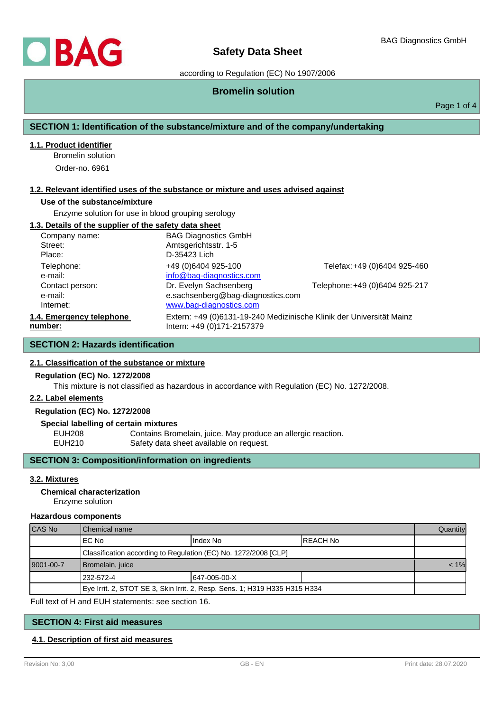

according to Regulation (EC) No 1907/2006

## **Bromelin solution**

Page 1 of 4

## **SECTION 1: Identification of the substance/mixture and of the company/undertaking**

### **1.1. Product identifier**

Bromelin solution

Order-no. 6961

#### **1.2. Relevant identified uses of the substance or mixture and uses advised against**

#### **Use of the substance/mixture**

Enzyme solution for use in blood grouping serology

### **1.3. Details of the supplier of the safety data sheet**

| Company name:            | <b>BAG Diagnostics GmbH</b>                                          |                                |
|--------------------------|----------------------------------------------------------------------|--------------------------------|
| Street:                  | Amtsgerichtsstr. 1-5                                                 |                                |
| Place:                   | D-35423 Lich                                                         |                                |
| Telephone:               | +49 (0)6404 925-100                                                  | Telefax: +49 (0)6404 925-460   |
| e-mail:                  | info@bag-diagnostics.com                                             |                                |
| Contact person:          | Dr. Evelyn Sachsenberg                                               | Telephone: +49 (0)6404 925-217 |
| e-mail:                  | e.sachsenberg@bag-diagnostics.com                                    |                                |
| Internet:                | www.bag-diagnostics.com                                              |                                |
| 1.4. Emergency telephone | Extern: +49 (0)6131-19-240 Medizinische Klinik der Universität Mainz |                                |
| number:                  | Intern: +49 (0)171-2157379                                           |                                |

## **SECTION 2: Hazards identification**

#### **2.1. Classification of the substance or mixture**

## **Regulation (EC) No. 1272/2008**

This mixture is not classified as hazardous in accordance with Regulation (EC) No. 1272/2008.

#### **2.2. Label elements**

**Regulation (EC) No. 1272/2008**

#### **Special labelling of certain mixtures**

EUH208 Contains Bromelain, juice. May produce an allergic reaction.<br>EUH210 Safety data sheet available on request. Safety data sheet available on request.

## **SECTION 3: Composition/information on ingredients**

#### **3.2. Mixtures**

#### **Chemical characterization**

Enzyme solution

#### **Hazardous components**

| ICAS No    | Chemical name                                                              |              |           | Quantity |
|------------|----------------------------------------------------------------------------|--------------|-----------|----------|
|            | IEC No                                                                     | I Index No   | IREACH No |          |
|            | Classification according to Regulation (EC) No. 1272/2008 [CLP]            |              |           |          |
| 19001-00-7 | Bromelain, juice                                                           |              | $< 1\%$   |          |
|            | 1232-572-4                                                                 | 647-005-00-X |           |          |
|            | Eye Irrit. 2, STOT SE 3, Skin Irrit. 2, Resp. Sens. 1; H319 H335 H315 H334 |              |           |          |

Full text of H and EUH statements: see section 16.

## **SECTION 4: First aid measures**

## **4.1. Description of first aid measures**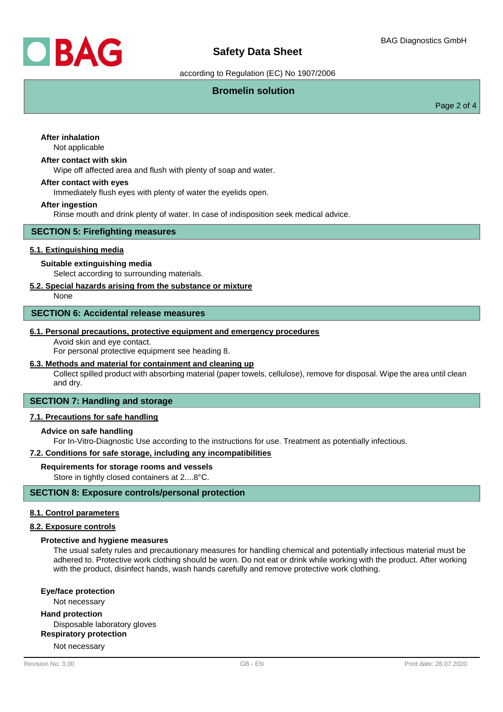

according to Regulation (EC) No 1907/2006

## **Bromelin solution**

Page 2 of 4

# **After inhalation**

Not applicable

## **After contact with skin**

Wipe off affected area and flush with plenty of soap and water.

#### **After contact with eyes**

Immediately flush eyes with plenty of water the eyelids open.

#### **After ingestion**

Rinse mouth and drink plenty of water. In case of indisposition seek medical advice.

## **SECTION 5: Firefighting measures**

## **5.1. Extinguishing media**

## **Suitable extinguishing media**

Select according to surrounding materials.

## **5.2. Special hazards arising from the substance or mixture**

None

## **SECTION 6: Accidental release measures**

#### **6.1. Personal precautions, protective equipment and emergency procedures**

Avoid skin and eye contact.

For personal protective equipment see heading 8.

## **6.3. Methods and material for containment and cleaning up**

Collect spilled product with absorbing material (paper towels, cellulose), remove for disposal. Wipe the area until clean and dry.

## **SECTION 7: Handling and storage**

## **7.1. Precautions for safe handling**

## **Advice on safe handling**

For In-Vitro-Diagnostic Use according to the instructions for use. Treatment as potentially infectious.

## **7.2. Conditions for safe storage, including any incompatibilities**

#### **Requirements for storage rooms and vessels**

Store in tightly closed containers at 2....8°C.

## **SECTION 8: Exposure controls/personal protection**

## **8.1. Control parameters**

#### **8.2. Exposure controls**

#### **Protective and hygiene measures**

The usual safety rules and precautionary measures for handling chemical and potentially infectious material must be adhered to. Protective work clothing should be worn. Do not eat or drink while working with the product. After working with the product, disinfect hands, wash hands carefully and remove protective work clothing.

**Eye/face protection**

Not necessary

#### **Hand protection**

Disposable laboratory gloves

**Respiratory protection**

Not necessary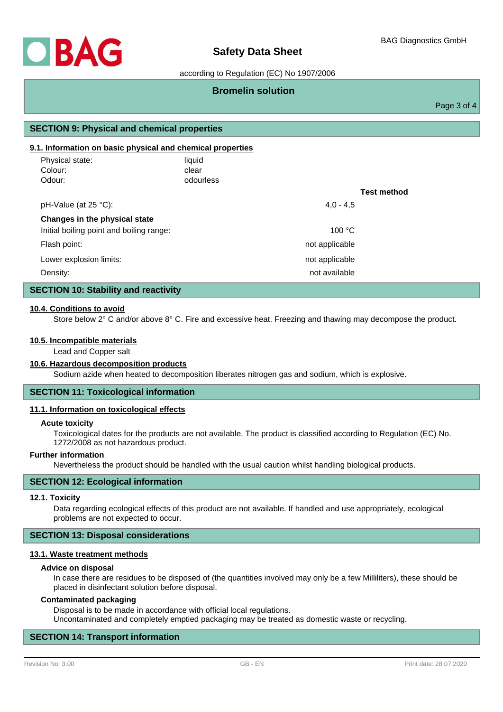

## according to Regulation (EC) No 1907/2006

## **Bromelin solution**

Page 3 of 4

## **SECTION 9: Physical and chemical properties**

### **9.1. Information on basic physical and chemical properties**

| Physical state:<br>Colour:<br>Odour:     | liquid<br>clear<br>odourless |                |                    |
|------------------------------------------|------------------------------|----------------|--------------------|
|                                          |                              |                | <b>Test method</b> |
| pH-Value (at 25 °C):                     |                              | $4.0 - 4.5$    |                    |
| Changes in the physical state            |                              |                |                    |
| Initial boiling point and boiling range: |                              | 100 °C         |                    |
| Flash point:                             |                              | not applicable |                    |
| Lower explosion limits:                  |                              | not applicable |                    |
| Density:                                 |                              | not available  |                    |

#### **SECTION 10: Stability and reactivity**

#### **10.4. Conditions to avoid**

Store below 2° C and/or above 8° C. Fire and excessive heat. Freezing and thawing may decompose the product.

#### **10.5. Incompatible materials**

Lead and Copper salt

#### **10.6. Hazardous decomposition products**

Sodium azide when heated to decomposition liberates nitrogen gas and sodium, which is explosive.

#### **SECTION 11: Toxicological information**

#### **11.1. Information on toxicological effects**

#### **Acute toxicity**

Toxicological dates for the products are not available. The product is classified according to Regulation (EC) No. 1272/2008 as not hazardous product.

#### **Further information**

Nevertheless the product should be handled with the usual caution whilst handling biological products.

## **SECTION 12: Ecological information**

#### **12.1. Toxicity**

Data regarding ecological effects of this product are not available. If handled and use appropriately, ecological problems are not expected to occur.

## **SECTION 13: Disposal considerations**

#### **13.1. Waste treatment methods**

#### **Advice on disposal**

In case there are residues to be disposed of (the quantities involved may only be a few Milliliters), these should be placed in disinfectant solution before disposal.

#### **Contaminated packaging**

Disposal is to be made in accordance with official local regulations. Uncontaminated and completely emptied packaging may be treated as domestic waste or recycling.

#### **SECTION 14: Transport information**